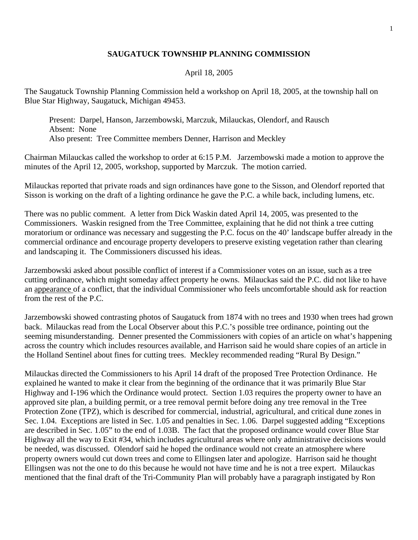## **SAUGATUCK TOWNSHIP PLANNING COMMISSION**

## April 18, 2005

The Saugatuck Township Planning Commission held a workshop on April 18, 2005, at the township hall on Blue Star Highway, Saugatuck, Michigan 49453.

 Present: Darpel, Hanson, Jarzembowski, Marczuk, Milauckas, Olendorf, and Rausch Absent: None Also present: Tree Committee members Denner, Harrison and Meckley

Chairman Milauckas called the workshop to order at 6:15 P.M. Jarzembowski made a motion to approve the minutes of the April 12, 2005, workshop, supported by Marczuk. The motion carried.

Milauckas reported that private roads and sign ordinances have gone to the Sisson, and Olendorf reported that Sisson is working on the draft of a lighting ordinance he gave the P.C. a while back, including lumens, etc.

There was no public comment. A letter from Dick Waskin dated April 14, 2005, was presented to the Commissioners. Waskin resigned from the Tree Committee, explaining that he did not think a tree cutting moratorium or ordinance was necessary and suggesting the P.C. focus on the 40' landscape buffer already in the commercial ordinance and encourage property developers to preserve existing vegetation rather than clearing and landscaping it. The Commissioners discussed his ideas.

Jarzembowski asked about possible conflict of interest if a Commissioner votes on an issue, such as a tree cutting ordinance, which might someday affect property he owns. Milauckas said the P.C. did not like to have an appearance of a conflict, that the individual Commissioner who feels uncomfortable should ask for reaction from the rest of the P.C.

Jarzembowski showed contrasting photos of Saugatuck from 1874 with no trees and 1930 when trees had grown back. Milauckas read from the Local Observer about this P.C.'s possible tree ordinance, pointing out the seeming misunderstanding. Denner presented the Commissioners with copies of an article on what's happening across the country which includes resources available, and Harrison said he would share copies of an article in the Holland Sentinel about fines for cutting trees. Meckley recommended reading "Rural By Design."

Milauckas directed the Commissioners to his April 14 draft of the proposed Tree Protection Ordinance. He explained he wanted to make it clear from the beginning of the ordinance that it was primarily Blue Star Highway and I-196 which the Ordinance would protect. Section 1.03 requires the property owner to have an approved site plan, a building permit, or a tree removal permit before doing any tree removal in the Tree Protection Zone (TPZ), which is described for commercial, industrial, agricultural, and critical dune zones in Sec. 1.04. Exceptions are listed in Sec. 1.05 and penalties in Sec. 1.06. Darpel suggested adding "Exceptions are described in Sec. 1.05" to the end of 1.03B. The fact that the proposed ordinance would cover Blue Star Highway all the way to Exit #34, which includes agricultural areas where only administrative decisions would be needed, was discussed. Olendorf said he hoped the ordinance would not create an atmosphere where property owners would cut down trees and come to Ellingsen later and apologize. Harrison said he thought Ellingsen was not the one to do this because he would not have time and he is not a tree expert. Milauckas mentioned that the final draft of the Tri-Community Plan will probably have a paragraph instigated by Ron